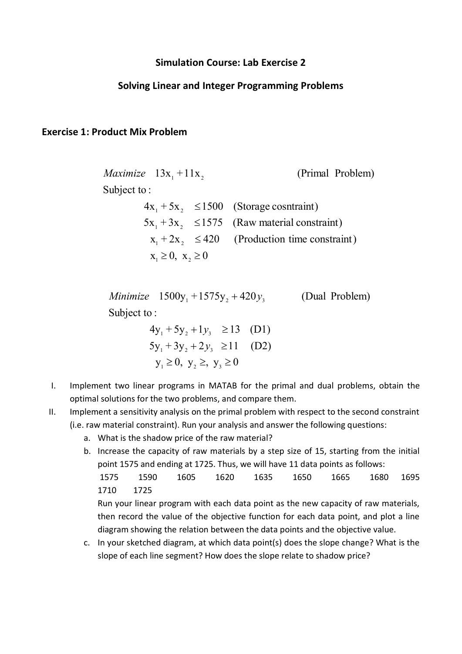## **Simulation Course: Lab Exercise 2**

## **Solving Linear and Integer Programming Problems**

#### **Exercise 1: Product Mix Problem**

 $x_1 \geq 0, x_2 \geq 0$ (Production time constraint)  $5x_1 + 3x_2 \le 1575$  (Raw material constraint)  $4x_1 + 5x_2 \le 1500$  (Storage cosntraint) Subject to : (Primal Problem)  $\sum_{1}$  + 2x<sub>2</sub>  $\leq$ *Maximize*  $13x_1 + 11x_2$ 

Subject to : *Minimize*  $1500y_1 + 1575y_2 + 420y_3$  (Dual Problem)

$$
4y_1 + 5y_2 + 1y_3 \ge 13
$$
 (D1)  
\n
$$
5y_1 + 3y_2 + 2y_3 \ge 11
$$
 (D2)  
\n
$$
y_1 \ge 0, y_2 \ge y_3 \ge 0
$$

- I. Implement two linear programs in MATAB for the primal and dual problems, obtain the optimal solutions for the two problems, and compare them.
- II. Implement a sensitivity analysis on the primal problem with respect to the second constraint (i.e. raw material constraint). Run your analysis and answer the following questions:
	- a. What is the shadow price of the raw material?
	- b. Increase the capacity of raw materials by a step size of 15, starting from the initial point 1575 and ending at 1725. Thus, we will have 11 data points as follows: 1575 1590 1605 1620 1635 1650 1665 1680 1695

1710 1725

Run your linear program with each data point as the new capacity of raw materials, then record the value of the objective function for each data point, and plot a line diagram showing the relation between the data points and the objective value.

c. In your sketched diagram, at which data point(s) does the slope change? What is the slope of each line segment? How does the slope relate to shadow price?